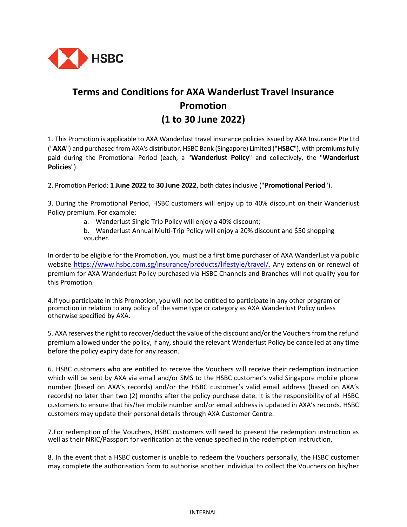

## **Terms and Conditions for AXA Wanderlust Travel Insurance Promotion (1 to 30 June 2022)**

1. This Promotion is applicable to AXA Wanderlust travel insurance policies issued by AXA Insurance Pte Ltd ("**AXA**") and purchased from AXA's distributor, HSBC Bank (Singapore) Limited ("**HSBC**"), with premiums fully paid during the Promotional Period (each, a "**Wanderlust Policy**" and collectively, the "**Wanderlust Policies**").

2. Promotion Period: **1 June 2022** to **30 June 2022**, both dates inclusive ("**Promotional Period**").

3. During the Promotional Period, HSBC customers will enjoy up to 40% discount on their Wanderlust Policy premium. For example:

a. Wanderlust Single Trip Policy will enjoy a 40% discount;

b. Wanderlust Annual Multi-Trip Policy will enjoy a 20% discount and \$50 shopping voucher.

In order to be eligible for the Promotion, you must be a first time purchaser of AXA Wanderlust via public website [https://www.hsbc.com.sg/insurance/products/lifestyle/travel/](https://www.hsbc.com.sg/insurance/products/lifestyle/car/). Any extension or renewal of premium for AXA Wanderlust Policy purchased via HSBC Channels and Branches will not qualify you for this Promotion.

4.If you participate in this Promotion, you will not be entitled to participate in any other program or promotion in relation to any policy of the same type or category as AXA Wanderlust Policy unless otherwise specified by AXA.

5. AXA reserves the right to recover/deduct the value of the discount and/or the Vouchers from the refund premium allowed under the policy, if any, should the relevant Wanderlust Policy be cancelled at any time before the policy expiry date for any reason.

6. HSBC customers who are entitled to receive the Vouchers will receive their redemption instruction which will be sent by AXA via email and/or SMS to the HSBC customer's valid Singapore mobile phone number (based on AXA's records) and/or the HSBC customer's valid email address (based on AXA's records) no later than two (2) months after the policy purchase date. It is the responsibility of all HSBC customers to ensure that his/her mobile number and/or email address is updated in AXA's records. HSBC customers may update their personal details through AXA Customer Centre.

7.For redemption of the Vouchers, HSBC customers will need to present the redemption instruction as well as their NRIC/Passport for verification at the venue specified in the redemption instruction.

8. In the event that a HSBC customer is unable to redeem the Vouchers personally, the HSBC customer may complete the authorisation form to authorise another individual to collect the Vouchers on his/her